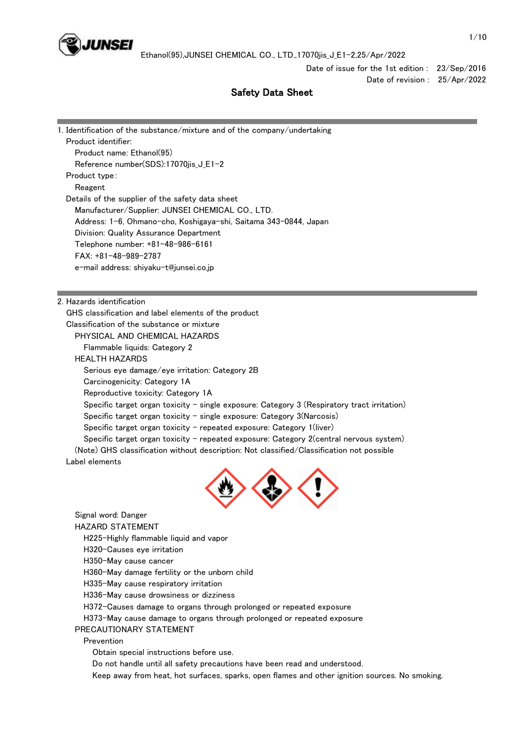

Date of issue for the 1st edition : 23/Sep/2016 Date of revision : 25/Apr/2022

# Safety Data Sheet

| 1. Identification of the substance/mixture and of the company/undertaking                   |
|---------------------------------------------------------------------------------------------|
| Product identifier:                                                                         |
| Product name: Ethanol(95)                                                                   |
| Reference number(SDS):17070jis_J_E1-2                                                       |
| Product type:                                                                               |
| Reagent                                                                                     |
| Details of the supplier of the safety data sheet                                            |
| Manufacturer/Supplier: JUNSEI CHEMICAL CO., LTD.                                            |
| Address: 1-6, Ohmano-cho, Koshigaya-shi, Saitama 343-0844, Japan                            |
| Division: Quality Assurance Department                                                      |
| Telephone number: +81-48-986-6161                                                           |
| $FAX: +81-48-989-2787$                                                                      |
| e-mail address: shiyaku-t@junsei.co.jp                                                      |
|                                                                                             |
|                                                                                             |
| 2. Hazards identification                                                                   |
| GHS classification and label elements of the product                                        |
| Classification of the substance or mixture                                                  |
| PHYSICAL AND CHEMICAL HAZARDS                                                               |
| Flammable liquids: Category 2                                                               |
| <b>HEALTH HAZARDS</b>                                                                       |
| Serious eye damage/eye irritation: Category 2B                                              |
| Carcinogenicity: Category 1A                                                                |
| Reproductive toxicity: Category 1A                                                          |
| Specific target organ toxicity - single exposure: Category 3 (Respiratory tract irritation) |
| Specific target organ toxicity $-$ single exposure: Category 3(Narcosis)                    |
| Specific target organ toxicity – repeated exposure: Category 1(liver)                       |

(Note) GHS classification without description: Not classified/Classification not possible

Label elements

T



Specific target organ toxicity - repeated exposure: Category 2(central nervous system)

Signal word: Danger

HAZARD STATEMENT

H225-Highly flammable liquid and vapor

H320-Causes eye irritation

H350-May cause cancer

H360-May damage fertility or the unborn child

H335-May cause respiratory irritation

H336-May cause drowsiness or dizziness

H372-Causes damage to organs through prolonged or repeated exposure

H373-May cause damage to organs through prolonged or repeated exposure

PRECAUTIONARY STATEMENT

Prevention

Obtain special instructions before use.

Do not handle until all safety precautions have been read and understood.

Keep away from heat, hot surfaces, sparks, open flames and other ignition sources. No smoking.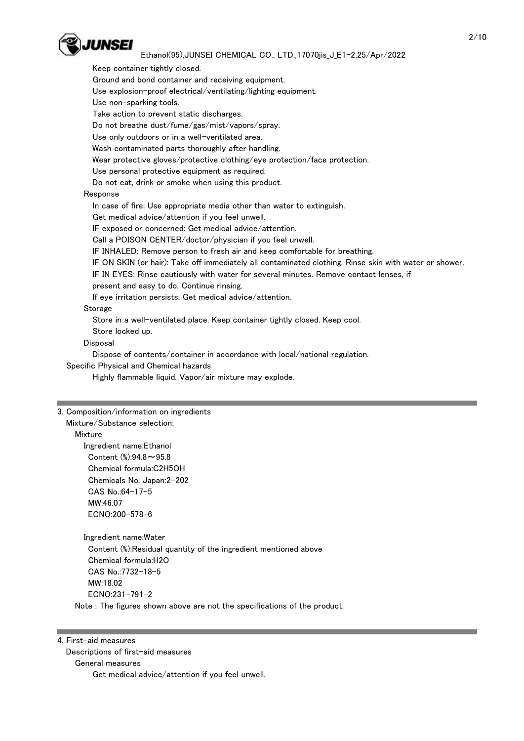

 Keep container tightly closed. Ground and bond container and receiving equipment. Use explosion-proof electrical/ventilating/lighting equipment. Use non-sparking tools. Take action to prevent static discharges. Do not breathe dust/fume/gas/mist/vapors/spray. Use only outdoors or in a well-ventilated area. Wash contaminated parts thoroughly after handling. Wear protective gloves/protective clothing/eye protection/face protection. Use personal protective equipment as required. Do not eat, drink or smoke when using this product. Response In case of fire: Use appropriate media other than water to extinguish. Get medical advice/attention if you feel unwell. IF exposed or concerned: Get medical advice/attention. Call a POISON CENTER/doctor/physician if you feel unwell. IF INHALED: Remove person to fresh air and keep comfortable for breathing. IF ON SKIN (or hair): Take off immediately all contaminated clothing. Rinse skin with water or shower. IF IN EYES: Rinse cautiously with water for several minutes. Remove contact lenses, if present and easy to do. Continue rinsing. If eye irritation persists: Get medical advice/attention. Storage Store in a well-ventilated place. Keep container tightly closed. Keep cool. Store locked up. Disposal Dispose of contents/container in accordance with local/national regulation.

Specific Physical and Chemical hazards

Highly flammable liquid. Vapor/air mixture may explode.

#### 3. Composition/information on ingredients

Mixture/Substance selection:

#### Mixture

 Ingredient name:Ethanol Content (%):94.8~95.8 Chemical formula:C2H5OH Chemicals No, Japan:2-202 CAS No.:64-17-5 MW:46.07 ECNO:200-578-6

 Ingredient name:Water Content (%):Residual quantity of the ingredient mentioned above Chemical formula:H2O CAS No.:7732-18-5 MW:18.02 ECNO:231-791-2 Note : The figures shown above are not the specifications of the product.

#### 4. First-aid measures

Descriptions of first-aid measures

General measures

Get medical advice/attention if you feel unwell.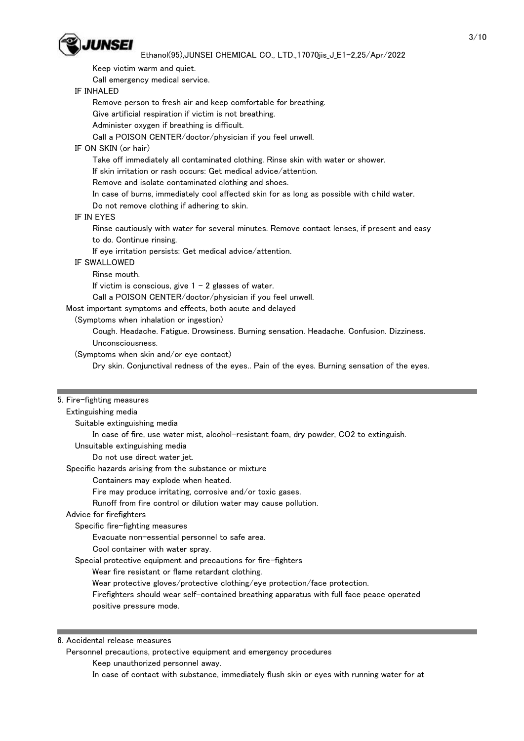

Keep victim warm and quiet.

Call emergency medical service.

# IF INHALED

Remove person to fresh air and keep comfortable for breathing.

Give artificial respiration if victim is not breathing.

Administer oxygen if breathing is difficult.

Call a POISON CENTER/doctor/physician if you feel unwell.

# IF ON SKIN (or hair)

Take off immediately all contaminated clothing. Rinse skin with water or shower.

If skin irritation or rash occurs: Get medical advice/attention.

Remove and isolate contaminated clothing and shoes.

In case of burns, immediately cool affected skin for as long as possible with child water.

Do not remove clothing if adhering to skin.

# IF IN EYES

 Rinse cautiously with water for several minutes. Remove contact lenses, if present and easy to do. Continue rinsing.

If eye irritation persists: Get medical advice/attention.

# IF SWALLOWED

Rinse mouth.

If victim is conscious, give  $1 - 2$  glasses of water.

Call a POISON CENTER/doctor/physician if you feel unwell.

Most important symptoms and effects, both acute and delayed

(Symptoms when inhalation or ingestion)

 Cough. Headache. Fatigue. Drowsiness. Burning sensation. Headache. Confusion. Dizziness. Unconsciousness.

(Symptoms when skin and/or eye contact)

Dry skin. Conjunctival redness of the eyes.. Pain of the eyes. Burning sensation of the eyes.

#### 5. Fire-fighting measures

#### Extinguishing media

Suitable extinguishing media

In case of fire, use water mist, alcohol-resistant foam, dry powder, CO2 to extinguish.

Unsuitable extinguishing media

Do not use direct water jet.

Specific hazards arising from the substance or mixture

Containers may explode when heated.

#### Fire may produce irritating, corrosive and/or toxic gases.

Runoff from fire control or dilution water may cause pollution.

# Advice for firefighters

Specific fire-fighting measures

Evacuate non-essential personnel to safe area.

Cool container with water spray.

Special protective equipment and precautions for fire-fighters

Wear fire resistant or flame retardant clothing.

Wear protective gloves/protective clothing/eye protection/face protection.

 Firefighters should wear self-contained breathing apparatus with full face peace operated positive pressure mode.

6. Accidental release measures

Personnel precautions, protective equipment and emergency procedures

Keep unauthorized personnel away.

In case of contact with substance, immediately flush skin or eyes with running water for at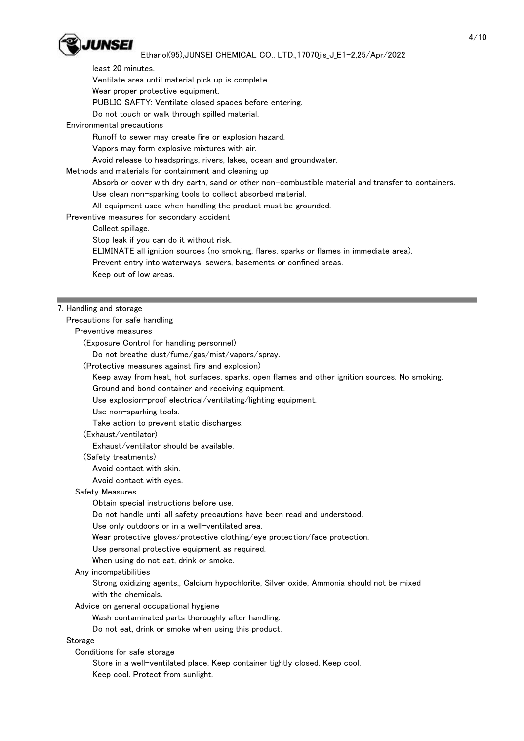

least 20 minutes.

Ventilate area until material pick up is complete.

Wear proper protective equipment.

PUBLIC SAFTY: Ventilate closed spaces before entering.

Do not touch or walk through spilled material.

Environmental precautions

Runoff to sewer may create fire or explosion hazard.

Vapors may form explosive mixtures with air.

Avoid release to headsprings, rivers, lakes, ocean and groundwater.

Methods and materials for containment and cleaning up

Absorb or cover with dry earth, sand or other non-combustible material and transfer to containers.

Use clean non-sparking tools to collect absorbed material.

All equipment used when handling the product must be grounded.

Preventive measures for secondary accident

Collect spillage.

Stop leak if you can do it without risk.

ELIMINATE all ignition sources (no smoking, flares, sparks or flames in immediate area).

Prevent entry into waterways, sewers, basements or confined areas.

Keep out of low areas.

#### 7. Handling and storage

Precautions for safe handling

Preventive measures

(Exposure Control for handling personnel)

Do not breathe dust/fume/gas/mist/vapors/spray.

(Protective measures against fire and explosion)

Keep away from heat, hot surfaces, sparks, open flames and other ignition sources. No smoking.

Ground and bond container and receiving equipment.

Use explosion-proof electrical/ventilating/lighting equipment.

Use non-sparking tools.

Take action to prevent static discharges.

(Exhaust/ventilator)

Exhaust/ventilator should be available.

(Safety treatments)

Avoid contact with skin.

Avoid contact with eyes.

#### Safety Measures

Obtain special instructions before use.

Do not handle until all safety precautions have been read and understood.

Use only outdoors or in a well-ventilated area.

Wear protective gloves/protective clothing/eye protection/face protection.

Use personal protective equipment as required.

When using do not eat, drink or smoke.

Any incompatibilities

 Strong oxidizing agents,, Calcium hypochlorite, Silver oxide, Ammonia should not be mixed with the chemicals.

Advice on general occupational hygiene

Wash contaminated parts thoroughly after handling.

Do not eat, drink or smoke when using this product.

Storage

Conditions for safe storage

 Store in a well-ventilated place. Keep container tightly closed. Keep cool. Keep cool. Protect from sunlight.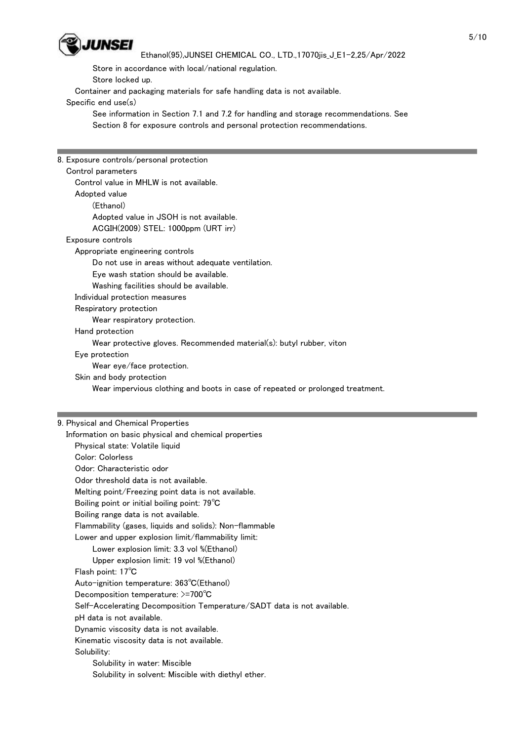

Store in accordance with local/national regulation.

Store locked up.

Container and packaging materials for safe handling data is not available.

Specific end use(s)

 See information in Section 7.1 and 7.2 for handling and storage recommendations. See Section 8 for exposure controls and personal protection recommendations.

8. Exposure controls/personal protection Control parameters Control value in MHLW is not available. Adopted value (Ethanol) Adopted value in JSOH is not available. ACGIH(2009) STEL: 1000ppm (URT irr) Exposure controls Appropriate engineering controls Do not use in areas without adequate ventilation. Eye wash station should be available. Washing facilities should be available. Individual protection measures Respiratory protection Wear respiratory protection. Hand protection Wear protective gloves. Recommended material(s): butyl rubber, viton Eye protection Wear eye/face protection. Skin and body protection Wear impervious clothing and boots in case of repeated or prolonged treatment. 9. Physical and Chemical Properties Information on basic physical and chemical properties Physical state: Volatile liquid Color: Colorless Odor: Characteristic odor Odor threshold data is not available. Melting point/Freezing point data is not available. Boiling point or initial boiling point: 79℃ Boiling range data is not available. Flammability (gases, liquids and solids): Non-flammable Lower and upper explosion limit/flammability limit: Lower explosion limit: 3.3 vol %(Ethanol) Upper explosion limit: 19 vol %(Ethanol) Flash point: 17℃ Auto-ignition temperature: 363℃(Ethanol) Decomposition temperature: >=700℃ Self-Accelerating Decomposition Temperature/SADT data is not available. pH data is not available. Dynamic viscosity data is not available. Kinematic viscosity data is not available. Solubility:

 Solubility in water: Miscible Solubility in solvent: Miscible with diethyl ether.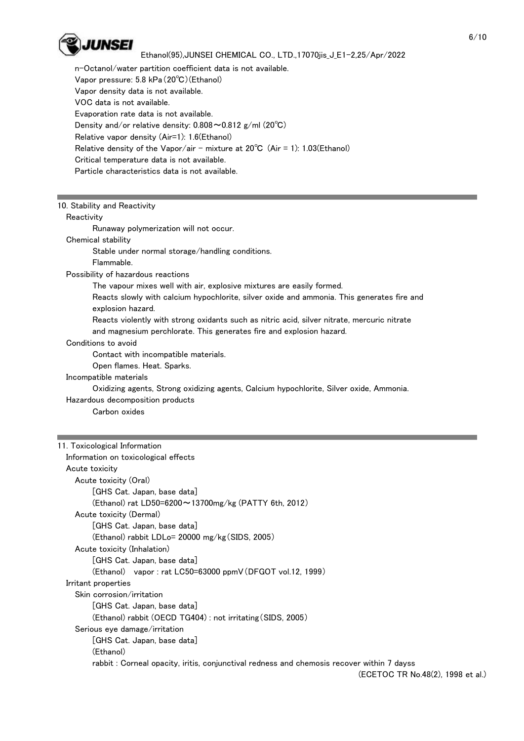

 n-Octanol/water partition coefficient data is not available. Vapor pressure: 5.8 kPa(20℃)(Ethanol) Vapor density data is not available. VOC data is not available. Evaporation rate data is not available. Density and/or relative density: 0.808~0.812 g/ml (20℃) Relative vapor density (Air=1): 1.6(Ethanol) Relative density of the Vapor/air - mixture at  $20^{\circ}$ C (Air = 1): 1.03(Ethanol) Critical temperature data is not available. Particle characteristics data is not available.

#### 10. Stability and Reactivity

## **Reactivity**

Runaway polymerization will not occur.

# Chemical stability

Stable under normal storage/handling conditions.

Flammable.

#### Possibility of hazardous reactions

The vapour mixes well with air, explosive mixtures are easily formed.

 Reacts slowly with calcium hypochlorite, silver oxide and ammonia. This generates fire and explosion hazard.

Reacts violently with strong oxidants such as nitric acid, silver nitrate, mercuric nitrate

and magnesium perchlorate. This generates fire and explosion hazard.

# Conditions to avoid

Contact with incompatible materials.

Open flames. Heat. Sparks.

#### Incompatible materials

Oxidizing agents, Strong oxidizing agents, Calcium hypochlorite, Silver oxide, Ammonia.

# Hazardous decomposition products

Carbon oxides

#### 11. Toxicological Information

| Information on toxicological effects                                                       |
|--------------------------------------------------------------------------------------------|
| Acute toxicity                                                                             |
| Acute toxicity (Oral)                                                                      |
| [GHS Cat. Japan, base data]                                                                |
| (Ethanol) rat LD50=6200 $\sim$ 13700mg/kg (PATTY 6th, 2012)                                |
| Acute toxicity (Dermal)                                                                    |
| [GHS Cat. Japan, base data]                                                                |
| (Ethanol) rabbit LDLo= 20000 mg/kg (SIDS, 2005)                                            |
| Acute toxicity (Inhalation)                                                                |
| [GHS Cat. Japan, base data]                                                                |
| (Ethanol) vapor: rat LC50=63000 ppmV (DFGOT vol.12, 1999)                                  |
| Irritant properties                                                                        |
| Skin corrosion/irritation                                                                  |
| [GHS Cat. Japan, base data]                                                                |
| (Ethanol) rabbit (OECD TG404) : not irritating (SIDS, 2005)                                |
| Serious eye damage/irritation                                                              |
| [GHS Cat. Japan, base data]                                                                |
| (Ethanol)                                                                                  |
| rabbit : Corneal opacity, iritis, conjunctival redness and chemosis recover within 7 dayss |
| (ECETOC TR No.48(2), 1998 et al.)                                                          |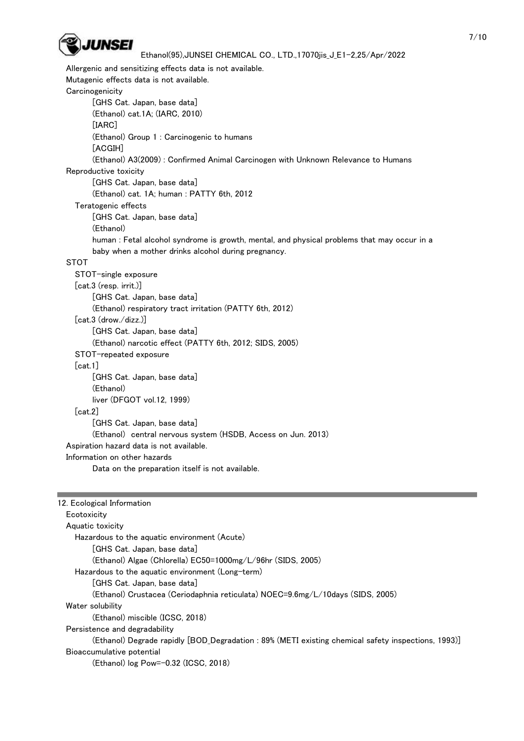

 Allergenic and sensitizing effects data is not available. Mutagenic effects data is not available. **Carcinogenicity**  [GHS Cat. Japan, base data] (Ethanol) cat.1A; (IARC, 2010) [IARC] (Ethanol) Group 1 : Carcinogenic to humans [ACGIH] (Ethanol) A3(2009) : Confirmed Animal Carcinogen with Unknown Relevance to Humans Reproductive toxicity [GHS Cat. Japan, base data] (Ethanol) cat. 1A; human : PATTY 6th, 2012 Teratogenic effects [GHS Cat. Japan, base data] (Ethanol) human : Fetal alcohol syndrome is growth, mental, and physical problems that may occur in a baby when a mother drinks alcohol during pregnancy. STOT STOT-single exposure [cat.3 (resp. irrit.)] [GHS Cat. Japan, base data] (Ethanol) respiratory tract irritation (PATTY 6th, 2012) [cat.3 (drow./dizz.)] [GHS Cat. Japan, base data] (Ethanol) narcotic effect (PATTY 6th, 2012; SIDS, 2005) STOT-repeated exposure [cat.1] [GHS Cat. Japan, base data] (Ethanol) liver (DFGOT vol.12, 1999) [cat.2] [GHS Cat. Japan, base data] (Ethanol) central nervous system (HSDB, Access on Jun. 2013) Aspiration hazard data is not available. Information on other hazards Data on the preparation itself is not available.

| 12. Ecological Information                                                                          |
|-----------------------------------------------------------------------------------------------------|
| Ecotoxicity                                                                                         |
| Aquatic toxicity                                                                                    |
| Hazardous to the aquatic environment (Acute)                                                        |
| [GHS Cat. Japan, base data]                                                                         |
| (Ethanol) Algae (Chlorella) EC50=1000mg/L/96hr (SIDS, 2005)                                         |
| Hazardous to the aquatic environment (Long-term)                                                    |
| GHS Cat. Japan. base data                                                                           |
| (Ethanol) Crustacea (Ceriodaphnia reticulata) NOEC=9.6mg/L/10days (SIDS, 2005)                      |
| Water solubility                                                                                    |
| (Ethanol) miscible (ICSC, 2018)                                                                     |
| Persistence and degradability                                                                       |
| (Ethanol) Degrade rapidly [BOD_Degradation : 89% (METI existing chemical safety inspections, 1993)] |
| Bioaccumulative potential                                                                           |
| (Ethanol) log Pow=-0.32 (ICSC, 2018)                                                                |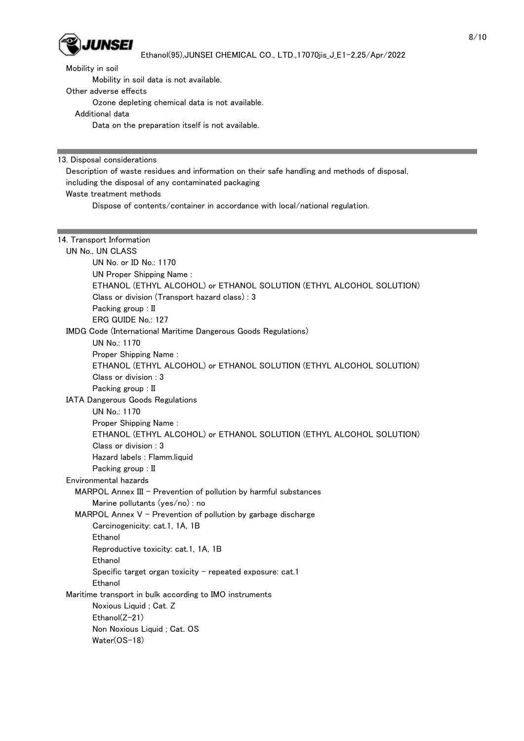

Mobility in soil

Mobility in soil data is not available.

Other adverse effects

Ozone depleting chemical data is not available.

Additional data

Data on the preparation itself is not available.

13. Disposal considerations

 Description of waste residues and information on their safe handling and methods of disposal, including the disposal of any contaminated packaging Waste treatment methods

Dispose of contents/container in accordance with local/national regulation.

| 14. Transport Information                                            |
|----------------------------------------------------------------------|
| UN No., UN CLASS                                                     |
| UN No. or ID No.: 1170                                               |
| <b>UN Proper Shipping Name:</b>                                      |
| ETHANOL (ETHYL ALCOHOL) or ETHANOL SOLUTION (ETHYL ALCOHOL SOLUTION) |
| Class or division (Transport hazard class): 3                        |
| Packing group: II                                                    |
| ERG GUIDE No.: 127                                                   |
| IMDG Code (International Maritime Dangerous Goods Regulations)       |
| UN No.: 1170                                                         |
| Proper Shipping Name:                                                |
| ETHANOL (ETHYL ALCOHOL) or ETHANOL SOLUTION (ETHYL ALCOHOL SOLUTION) |
| Class or division : 3                                                |
| Packing group: II                                                    |
| IATA Dangerous Goods Regulations                                     |
| UN No.: 1170                                                         |
| Proper Shipping Name:                                                |
| ETHANOL (ETHYL ALCOHOL) or ETHANOL SOLUTION (ETHYL ALCOHOL SOLUTION) |
| Class or division : 3                                                |
| Hazard labels : Flamm.liquid                                         |
| Packing group: II                                                    |
| Environmental hazards                                                |
| MARPOL Annex III - Prevention of pollution by harmful substances     |
| Marine pollutants (yes/no) : no                                      |
| MARPOL Annex $V$ - Prevention of pollution by garbage discharge      |
| Carcinogenicity: cat.1, 1A, 1B                                       |
| Ethanol                                                              |
| Reproductive toxicity: cat.1, 1A, 1B                                 |
| Ethanol                                                              |
| Specific target organ toxicity - repeated exposure: cat.1            |
| Ethanol                                                              |
| Maritime transport in bulk according to IMO instruments              |
| Noxious Liquid; Cat. Z                                               |
| Ethanol(Z-21)                                                        |
| Non Noxious Liquid; Cat. OS                                          |
| Water(OS-18)                                                         |
|                                                                      |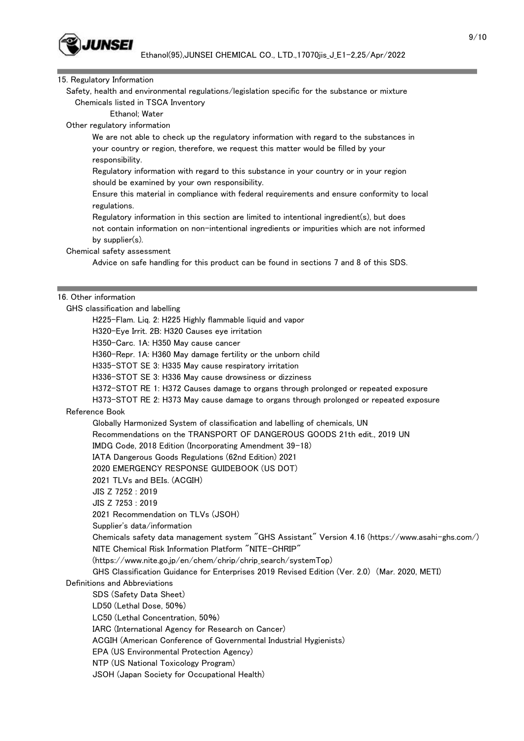

#### 15. Regulatory Information

 Safety, health and environmental regulations/legislation specific for the substance or mixture Chemicals listed in TSCA Inventory

Ethanol; Water

Other regulatory information

 We are not able to check up the regulatory information with regard to the substances in your country or region, therefore, we request this matter would be filled by your responsibility.

 Regulatory information with regard to this substance in your country or in your region should be examined by your own responsibility.

 Ensure this material in compliance with federal requirements and ensure conformity to local regulations.

 Regulatory information in this section are limited to intentional ingredient(s), but does not contain information on non-intentional ingredients or impurities which are not informed by supplier(s).

Chemical safety assessment

Advice on safe handling for this product can be found in sections 7 and 8 of this SDS.

#### 16. Other information

GHS classification and labelling

H225-Flam. Liq. 2: H225 Highly flammable liquid and vapor

H320-Eye Irrit. 2B: H320 Causes eye irritation

H350-Carc. 1A: H350 May cause cancer

H360-Repr. 1A: H360 May damage fertility or the unborn child

H335-STOT SE 3: H335 May cause respiratory irritation

H336-STOT SE 3: H336 May cause drowsiness or dizziness

H372-STOT RE 1: H372 Causes damage to organs through prolonged or repeated exposure

H373-STOT RE 2: H373 May cause damage to organs through prolonged or repeated exposure

#### Reference Book

 Globally Harmonized System of classification and labelling of chemicals, UN Recommendations on the TRANSPORT OF DANGEROUS GOODS 21th edit., 2019 UN IMDG Code, 2018 Edition (Incorporating Amendment 39-18)

IATA Dangerous Goods Regulations (62nd Edition) 2021

2020 EMERGENCY RESPONSE GUIDEBOOK (US DOT)

2021 TLVs and BEIs. (ACGIH)

JIS Z 7252 : 2019

JIS Z 7253 : 2019

2021 Recommendation on TLVs (JSOH)

Supplier's data/information

 Chemicals safety data management system "GHS Assistant" Version 4.16 (https://www.asahi-ghs.com/) NITE Chemical Risk Information Platform "NITE-CHRIP"

(https://www.nite.go.jp/en/chem/chrip/chrip\_search/systemTop)

GHS Classification Guidance for Enterprises 2019 Revised Edition (Ver. 2.0) (Mar. 2020, METI)

Definitions and Abbreviations

SDS (Safety Data Sheet)

LD50 (Lethal Dose, 50%)

LC50 (Lethal Concentration, 50%)

IARC (International Agency for Research on Cancer)

ACGIH (American Conference of Governmental Industrial Hygienists)

EPA (US Environmental Protection Agency)

NTP (US National Toxicology Program)

JSOH (Japan Society for Occupational Health)